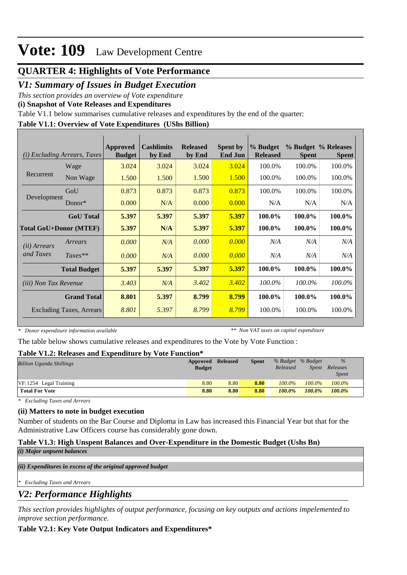# **Vote: 109** Law Development Centre

# **QUARTER 4: Highlights of Vote Performance**

### *V1: Summary of Issues in Budget Execution*

*This section provides an overview of Vote expenditure* 

**(i) Snapshot of Vote Releases and Expenditures**

Table V1.1 below summarises cumulative releases and expenditures by the end of the quarter:

### **Table V1.1: Overview of Vote Expenditures (UShs Billion)**

| (i)                           | <i>Excluding Arrears, Taxes</i> | Approved<br><b>Budget</b> | <b>Cashlimits</b><br>by End | <b>Released</b><br>by End | <b>Spent by</b><br><b>End Jun</b> | % Budget<br><b>Released</b> | <b>Spent</b> | % Budget % Releases<br><b>Spent</b> |
|-------------------------------|---------------------------------|---------------------------|-----------------------------|---------------------------|-----------------------------------|-----------------------------|--------------|-------------------------------------|
|                               | Wage                            | 3.024                     | 3.024                       | 3.024                     | 3.024                             | 100.0%                      | 100.0%       | 100.0%                              |
| Recurrent                     | Non Wage                        | 1.500                     | 1.500                       | 1.500                     | 1.500                             | 100.0%                      | 100.0%       | 100.0%                              |
|                               | GoU                             | 0.873                     | 0.873                       | 0.873                     | 0.873                             | 100.0%                      | 100.0%       | 100.0%                              |
| Development                   | Donor $*$                       | 0.000                     | N/A                         | 0.000                     | 0.000                             | N/A                         | N/A          | N/A                                 |
|                               | <b>GoU</b> Total                | 5.397                     | 5.397                       | 5.397                     | 5.397                             | 100.0%                      | 100.0%       | 100.0%                              |
| <b>Total GoU+Donor (MTEF)</b> |                                 | 5.397                     | N/A                         | 5.397                     | 5.397                             | 100.0%                      | 100.0%       | 100.0%                              |
| ( <i>ii</i> ) Arrears         | Arrears                         | 0.000                     | N/A                         | 0.000                     | 0.000                             | N/A                         | N/A          | N/A                                 |
| and Taxes                     | $Taxes**$                       | 0.000                     | N/A                         | 0.000                     | 0.000                             | N/A                         | N/A          | N/A                                 |
|                               | <b>Total Budget</b>             | 5.397                     | 5.397                       | 5.397                     | 5.397                             | 100.0%                      | 100.0%       | 100.0%                              |
| <i>(iii)</i> Non Tax Revenue  |                                 | 3.403                     | N/A                         | 3.402                     | 3.402                             | 100.0%                      | 100.0%       | 100.0%                              |
|                               | <b>Grand Total</b>              | 8.801                     | 5.397                       | 8.799                     | 8.799                             | 100.0%                      | 100.0%       | 100.0%                              |
| Excluding Taxes, Arrears      |                                 | 8.801                     | 5.397                       | 8.799                     | 8.799                             | 100.0%                      | 100.0%       | 100.0%                              |

*\* Donor expenditure information available*

*\*\* Non VAT taxes on capital expenditure*

The table below shows cumulative releases and expenditures to the Vote by Vote Function :

### **Table V1.2: Releases and Expenditure by Vote Function\***

| A WIJAU - I ATATI ARUJUWIJUJI WAANI AJIANJUMANWA U IJIT |               |                 |              |                   |           |               |  |
|---------------------------------------------------------|---------------|-----------------|--------------|-------------------|-----------|---------------|--|
| <b>Billion Uganda Shillings</b>                         | Approved      | <b>Released</b> | <b>Spent</b> | % Budget % Budget |           | $\frac{0}{0}$ |  |
|                                                         | <b>Budget</b> |                 |              | Released          | Spent     | Releases      |  |
|                                                         |               |                 |              |                   |           | <i>Spent</i>  |  |
| VF:1254 Legal Training                                  | 8.80          | 8.80            | 8.80         | $100.0\%$         | $100.0\%$ | 100.0%        |  |
| <b>Total For Vote</b>                                   | 8.80          | 8.80            | 8.80         | 100.0%            | $100.0\%$ | 100.0%        |  |

*\* Excluding Taxes and Arrears*

### **(ii) Matters to note in budget execution**

Number of students on the Bar Course and Diploma in Law has increased this Financial Year but that for the Administrative Law Officers course has considerably gone down.

### **Table V1.3: High Unspent Balances and Over-Expenditure in the Domestic Budget (Ushs Bn)**

*(i) Major unpsent balances*

*(ii) Expenditures in excess of the original approved budget*

*\* Excluding Taxes and Arrears*

## *V2: Performance Highlights*

*This section provides highlights of output performance, focusing on key outputs and actions impelemented to improve section performance.*

### **Table V2.1: Key Vote Output Indicators and Expenditures\***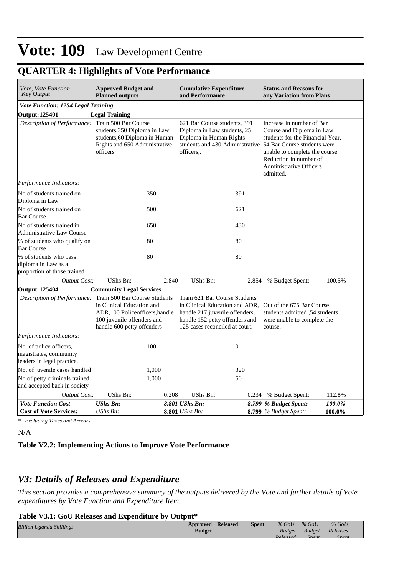# **Vote: 109** Law Development Centre

| Vote, Vote Function<br><b>Key Output</b>                                        | <b>Approved Budget and</b><br><b>Planned outputs</b>                                                                                                           | <b>Cumulative Expenditure</b><br>and Performance |                                                                                                                                                                                                 |       |                                                                                                                                                                                                                                                                      | <b>Status and Reasons for</b><br>any Variation from Plans |  |  |  |
|---------------------------------------------------------------------------------|----------------------------------------------------------------------------------------------------------------------------------------------------------------|--------------------------------------------------|-------------------------------------------------------------------------------------------------------------------------------------------------------------------------------------------------|-------|----------------------------------------------------------------------------------------------------------------------------------------------------------------------------------------------------------------------------------------------------------------------|-----------------------------------------------------------|--|--|--|
| Vote Function: 1254 Legal Training                                              |                                                                                                                                                                |                                                  |                                                                                                                                                                                                 |       |                                                                                                                                                                                                                                                                      |                                                           |  |  |  |
| <b>Output: 125401</b>                                                           | <b>Legal Training</b>                                                                                                                                          |                                                  |                                                                                                                                                                                                 |       |                                                                                                                                                                                                                                                                      |                                                           |  |  |  |
|                                                                                 | Description of Performance: Train 500 Bar Course<br>students, 350 Diploma in Law<br>students, 60 Diploma in Human<br>Rights and 650 Administrative<br>officers |                                                  | 621 Bar Course students, 391<br>Diploma in Law students, 25<br>Diploma in Human Rights<br>officers                                                                                              |       | Increase in number of Bar<br>Course and Diploma in Law<br>students for the Financial Year.<br>students and 430 Administrative 54 Bar Course students were<br>unable to complete the course.<br>Reduction in number of<br><b>Administrative Officers</b><br>admitted. |                                                           |  |  |  |
| Performance Indicators:                                                         |                                                                                                                                                                |                                                  |                                                                                                                                                                                                 |       |                                                                                                                                                                                                                                                                      |                                                           |  |  |  |
| No of students trained on<br>Diploma in Law                                     | 350                                                                                                                                                            |                                                  |                                                                                                                                                                                                 | 391   |                                                                                                                                                                                                                                                                      |                                                           |  |  |  |
| No of students trained on<br><b>Bar Course</b>                                  | 500                                                                                                                                                            |                                                  |                                                                                                                                                                                                 | 621   |                                                                                                                                                                                                                                                                      |                                                           |  |  |  |
| No of students trained in<br><b>Administrative Law Course</b>                   | 650                                                                                                                                                            |                                                  |                                                                                                                                                                                                 | 430   |                                                                                                                                                                                                                                                                      |                                                           |  |  |  |
| % of students who qualify on<br><b>Bar Course</b>                               | 80                                                                                                                                                             |                                                  |                                                                                                                                                                                                 | 80    |                                                                                                                                                                                                                                                                      |                                                           |  |  |  |
| % of students who pass<br>diploma in Law as a<br>proportion of those trained    | 80                                                                                                                                                             |                                                  |                                                                                                                                                                                                 | 80    |                                                                                                                                                                                                                                                                      |                                                           |  |  |  |
| <b>Output Cost:</b>                                                             | UShs Bn:                                                                                                                                                       | 2.840                                            | UShs Bn:                                                                                                                                                                                        | 2.854 | % Budget Spent:                                                                                                                                                                                                                                                      | 100.5%                                                    |  |  |  |
| <b>Output: 125404</b>                                                           | <b>Community Legal Services</b>                                                                                                                                |                                                  |                                                                                                                                                                                                 |       |                                                                                                                                                                                                                                                                      |                                                           |  |  |  |
| Description of Performance: Train 500 Bar Course Students                       | in Clinical Education and<br>ADR, 100 Policeofficers, handle<br>100 juvenile offenders and<br>handle 600 petty offenders                                       |                                                  | Train 621 Bar Course Students<br>in Clinical Education and ADR, Out of the 675 Bar Course<br>handle 217 juvenile offenders,<br>handle 152 petty offenders and<br>125 cases reconciled at court. |       | students admitted .54 students<br>were unable to complete the<br>course.                                                                                                                                                                                             |                                                           |  |  |  |
| Performance Indicators:                                                         |                                                                                                                                                                |                                                  |                                                                                                                                                                                                 |       |                                                                                                                                                                                                                                                                      |                                                           |  |  |  |
| No. of police officers,<br>magistrates, community<br>leaders in legal practice. | 100                                                                                                                                                            |                                                  | $\boldsymbol{0}$                                                                                                                                                                                |       |                                                                                                                                                                                                                                                                      |                                                           |  |  |  |
| No. of juvenile cases handled                                                   | 1,000                                                                                                                                                          |                                                  |                                                                                                                                                                                                 | 320   |                                                                                                                                                                                                                                                                      |                                                           |  |  |  |
| No of petty criminals trained<br>and accepted back in society                   | 1,000                                                                                                                                                          |                                                  |                                                                                                                                                                                                 | 50    |                                                                                                                                                                                                                                                                      |                                                           |  |  |  |
| Output Cost:                                                                    | <b>UShs Bn:</b>                                                                                                                                                | 0.208                                            | <b>UShs Bn:</b>                                                                                                                                                                                 |       | 0.234 % Budget Spent:                                                                                                                                                                                                                                                | 112.8%                                                    |  |  |  |
| <b>Vote Function Cost</b><br><b>Cost of Vote Services:</b>                      | <b>UShs Bn:</b><br>UShs Bn:                                                                                                                                    |                                                  | 8.801 UShs Bn:<br><b>8.801</b> <i>UShs Bn:</i>                                                                                                                                                  |       | 8.799 % Budget Spent:<br>8.799 % Budget Spent:                                                                                                                                                                                                                       | 100.0%<br>100.0%                                          |  |  |  |

### **QUARTER 4: Highlights of Vote Performance**

*\* Excluding Taxes and Arrears*

N/A

### **Table V2.2: Implementing Actions to Improve Vote Performance**

### *V3: Details of Releases and Expenditure*

*This section provides a comprehensive summary of the outputs delivered by the Vote and further details of Vote expenditures by Vote Function and Expenditure Item.*

#### **Table V3.1: GoU Releases and Expenditure by Output\***

| <b>Billion Uganda Shillings</b> | <b>Approved Released</b><br>Budget | <b>Spent</b> | $%$ GoU<br><b>Budget</b> | $\%$ GoU<br>Budget | $%$ GoU<br>Releases |
|---------------------------------|------------------------------------|--------------|--------------------------|--------------------|---------------------|
|                                 |                                    |              | Rologsod                 | $S_{\text{non}t}$  | Snont               |
|                                 |                                    |              |                          |                    |                     |